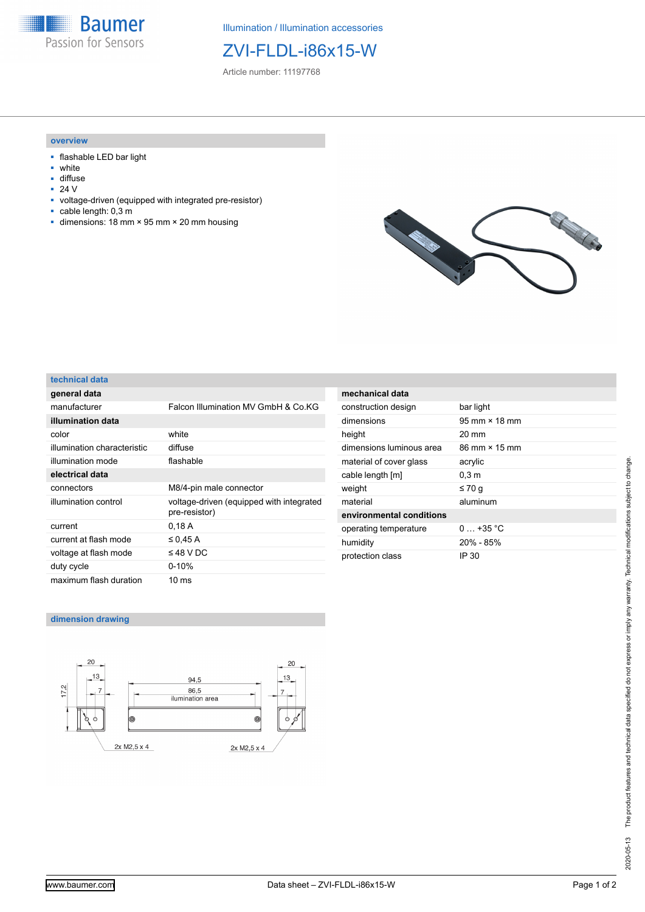**Baumer** Passion for Sensors

Illumination / Illumination accessories

# ZVI-FLDL-i86x15-W

Article number: 11197768

#### **overview**

- flashable LED bar light
- white
- diffuse<br>■ 24  $V$
- 24 V
- voltage-driven (equipped with integrated pre-resistor)
- cable length: 0,3 m
- dimensions: 18 mm × 95 mm × 20 mm housing



#### **technical data**

| general data                |                                                           |
|-----------------------------|-----------------------------------------------------------|
| manufacturer                | Falcon Illumination MV GmbH & Co.KG                       |
| illumination data           |                                                           |
| color                       | white                                                     |
| illumination characteristic | diffuse                                                   |
| illumination mode           | flashable                                                 |
| electrical data             |                                                           |
| connectors                  | M8/4-pin male connector                                   |
| illumination control        | voltage-driven (equipped with integrated<br>pre-resistor) |
| current                     | 0,18A                                                     |
| current at flash mode       | $\leq$ 0.45 A                                             |
| voltage at flash mode       | $\leq$ 48 V DC                                            |
| duty cycle                  | $0 - 10%$                                                 |
| maximum flash duration      | 10 ms                                                     |

| mechanical data          |                                      |
|--------------------------|--------------------------------------|
| construction design      | bar light                            |
| dimensions               | $95 \text{ mm} \times 18 \text{ mm}$ |
| height                   | $20 \text{ mm}$                      |
| dimensions luminous area | 86 mm × 15 mm                        |
| material of cover glass  | acrylic                              |
| cable length [m]         | 0.3 <sub>m</sub>                     |
| weight                   | ≤70 q                                |
| material                 | aluminum                             |
| environmental conditions |                                      |
| operating temperature    | $0.435 \degree C$                    |
| humidity                 | $20\% - 85\%$                        |
| protection class         | IP 30                                |

### **dimension drawing**